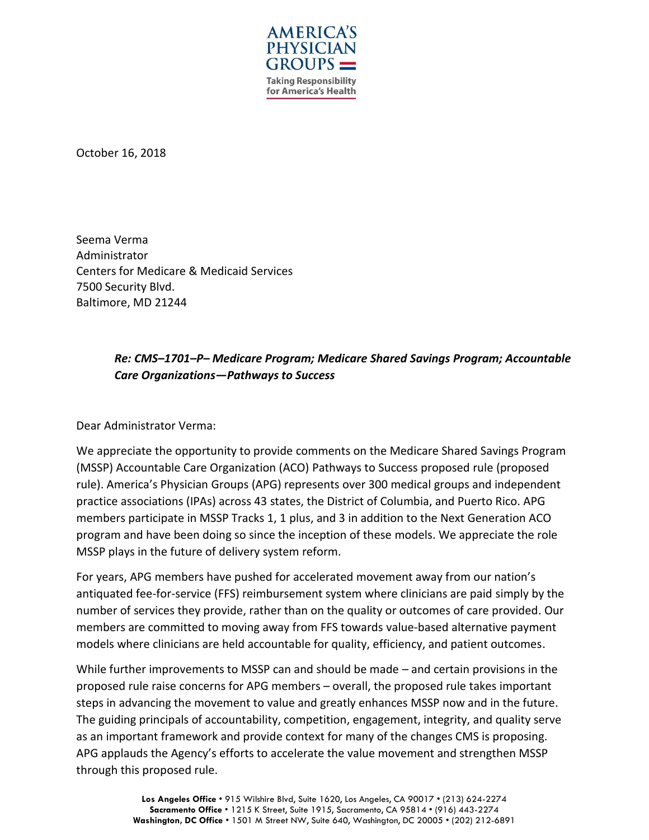

October 16, 2018

Seema Verma Administrator Centers for Medicare & Medicaid Services 7500 Security Blvd. Baltimore, MD 21244

# *Re: CMS–1701–P– Medicare Program; Medicare Shared Savings Program; Accountable Care Organizations—Pathways to Success*

Dear Administrator Verma:

We appreciate the opportunity to provide comments on the Medicare Shared Savings Program (MSSP) Accountable Care Organization (ACO) Pathways to Success proposed rule (proposed rule). America's Physician Groups (APG) represents over 300 medical groups and independent practice associations (IPAs) across 43 states, the District of Columbia, and Puerto Rico. APG members participate in MSSP Tracks 1, 1 plus, and 3 in addition to the Next Generation ACO program and have been doing so since the inception of these models. We appreciate the role MSSP plays in the future of delivery system reform.

For years, APG members have pushed for accelerated movement away from our nation's antiquated fee-for-service (FFS) reimbursement system where clinicians are paid simply by the number of services they provide, rather than on the quality or outcomes of care provided. Our members are committed to moving away from FFS towards value-based alternative payment models where clinicians are held accountable for quality, efficiency, and patient outcomes.

While further improvements to MSSP can and should be made – and certain provisions in the proposed rule raise concerns for APG members – overall, the proposed rule takes important steps in advancing the movement to value and greatly enhances MSSP now and in the future. The guiding principals of accountability, competition, engagement, integrity, and quality serve as an important framework and provide context for many of the changes CMS is proposing. APG applauds the Agency's efforts to accelerate the value movement and strengthen MSSP through this proposed rule.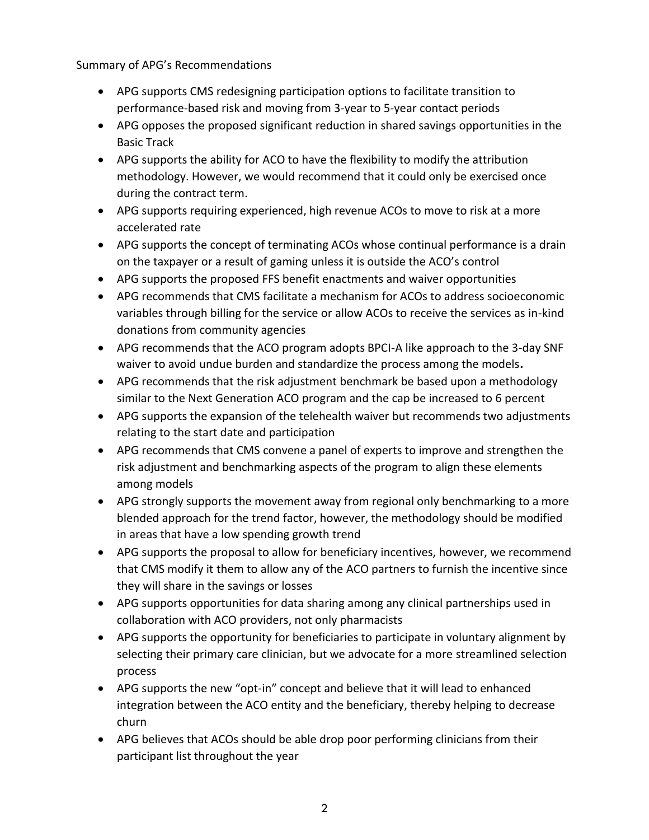Summary of APG's Recommendations

- APG supports CMS redesigning participation options to facilitate transition to performance-based risk and moving from 3-year to 5-year contact periods
- APG opposes the proposed significant reduction in shared savings opportunities in the Basic Track
- APG supports the ability for ACO to have the flexibility to modify the attribution methodology. However, we would recommend that it could only be exercised once during the contract term.
- APG supports requiring experienced, high revenue ACOs to move to risk at a more accelerated rate
- APG supports the concept of terminating ACOs whose continual performance is a drain on the taxpayer or a result of gaming unless it is outside the ACO's control
- APG supports the proposed FFS benefit enactments and waiver opportunities
- APG recommends that CMS facilitate a mechanism for ACOs to address socioeconomic variables through billing for the service or allow ACOs to receive the services as in-kind donations from community agencies
- APG recommends that the ACO program adopts BPCI-A like approach to the 3-day SNF waiver to avoid undue burden and standardize the process among the models**.**
- APG recommends that the risk adjustment benchmark be based upon a methodology similar to the Next Generation ACO program and the cap be increased to 6 percent
- APG supports the expansion of the telehealth waiver but recommends two adjustments relating to the start date and participation
- APG recommends that CMS convene a panel of experts to improve and strengthen the risk adjustment and benchmarking aspects of the program to align these elements among models
- APG strongly supports the movement away from regional only benchmarking to a more blended approach for the trend factor, however, the methodology should be modified in areas that have a low spending growth trend
- APG supports the proposal to allow for beneficiary incentives, however, we recommend that CMS modify it them to allow any of the ACO partners to furnish the incentive since they will share in the savings or losses
- APG supports opportunities for data sharing among any clinical partnerships used in collaboration with ACO providers, not only pharmacists
- APG supports the opportunity for beneficiaries to participate in voluntary alignment by selecting their primary care clinician, but we advocate for a more streamlined selection process
- APG supports the new "opt-in" concept and believe that it will lead to enhanced integration between the ACO entity and the beneficiary, thereby helping to decrease churn
- APG believes that ACOs should be able drop poor performing clinicians from their participant list throughout the year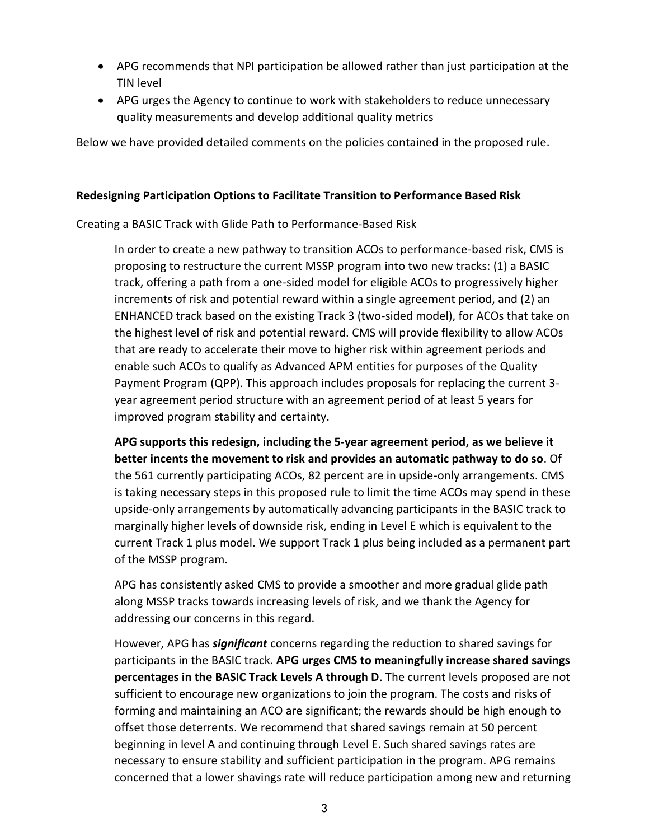- APG recommends that NPI participation be allowed rather than just participation at the TIN level
- APG urges the Agency to continue to work with stakeholders to reduce unnecessary quality measurements and develop additional quality metrics

Below we have provided detailed comments on the policies contained in the proposed rule.

#### **Redesigning Participation Options to Facilitate Transition to Performance Based Risk**

## Creating a BASIC Track with Glide Path to Performance-Based Risk

In order to create a new pathway to transition ACOs to performance-based risk, CMS is proposing to restructure the current MSSP program into two new tracks: (1) a BASIC track, offering a path from a one-sided model for eligible ACOs to progressively higher increments of risk and potential reward within a single agreement period, and (2) an ENHANCED track based on the existing Track 3 (two-sided model), for ACOs that take on the highest level of risk and potential reward. CMS will provide flexibility to allow ACOs that are ready to accelerate their move to higher risk within agreement periods and enable such ACOs to qualify as Advanced APM entities for purposes of the Quality Payment Program (QPP). This approach includes proposals for replacing the current 3 year agreement period structure with an agreement period of at least 5 years for improved program stability and certainty.

**APG supports this redesign, including the 5-year agreement period, as we believe it better incents the movement to risk and provides an automatic pathway to do so**. Of the 561 currently participating ACOs, 82 percent are in upside-only arrangements. CMS is taking necessary steps in this proposed rule to limit the time ACOs may spend in these upside-only arrangements by automatically advancing participants in the BASIC track to marginally higher levels of downside risk, ending in Level E which is equivalent to the current Track 1 plus model. We support Track 1 plus being included as a permanent part of the MSSP program.

APG has consistently asked CMS to provide a smoother and more gradual glide path along MSSP tracks towards increasing levels of risk, and we thank the Agency for addressing our concerns in this regard.

However, APG has *significant* concerns regarding the reduction to shared savings for participants in the BASIC track. **APG urges CMS to meaningfully increase shared savings percentages in the BASIC Track Levels A through D**. The current levels proposed are not sufficient to encourage new organizations to join the program. The costs and risks of forming and maintaining an ACO are significant; the rewards should be high enough to offset those deterrents. We recommend that shared savings remain at 50 percent beginning in level A and continuing through Level E. Such shared savings rates are necessary to ensure stability and sufficient participation in the program. APG remains concerned that a lower shavings rate will reduce participation among new and returning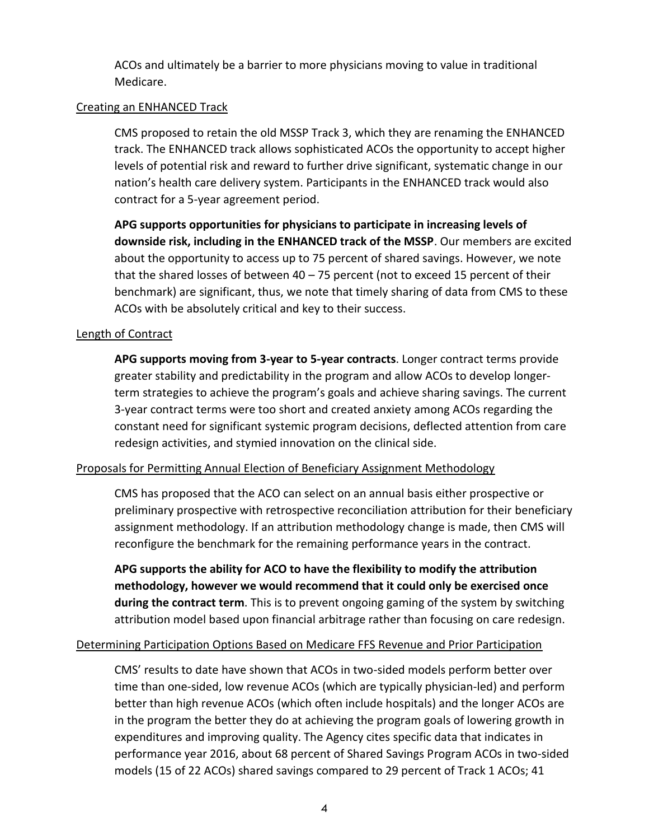ACOs and ultimately be a barrier to more physicians moving to value in traditional Medicare.

## Creating an ENHANCED Track

CMS proposed to retain the old MSSP Track 3, which they are renaming the ENHANCED track. The ENHANCED track allows sophisticated ACOs the opportunity to accept higher levels of potential risk and reward to further drive significant, systematic change in our nation's health care delivery system. Participants in the ENHANCED track would also contract for a 5-year agreement period.

**APG supports opportunities for physicians to participate in increasing levels of downside risk, including in the ENHANCED track of the MSSP**. Our members are excited about the opportunity to access up to 75 percent of shared savings. However, we note that the shared losses of between 40 – 75 percent (not to exceed 15 percent of their benchmark) are significant, thus, we note that timely sharing of data from CMS to these ACOs with be absolutely critical and key to their success.

## Length of Contract

**APG supports moving from 3-year to 5-year contracts**. Longer contract terms provide greater stability and predictability in the program and allow ACOs to develop longerterm strategies to achieve the program's goals and achieve sharing savings. The current 3-year contract terms were too short and created anxiety among ACOs regarding the constant need for significant systemic program decisions, deflected attention from care redesign activities, and stymied innovation on the clinical side.

#### Proposals for Permitting Annual Election of Beneficiary Assignment Methodology

CMS has proposed that the ACO can select on an annual basis either prospective or preliminary prospective with retrospective reconciliation attribution for their beneficiary assignment methodology. If an attribution methodology change is made, then CMS will reconfigure the benchmark for the remaining performance years in the contract.

**APG supports the ability for ACO to have the flexibility to modify the attribution methodology, however we would recommend that it could only be exercised once during the contract term**. This is to prevent ongoing gaming of the system by switching attribution model based upon financial arbitrage rather than focusing on care redesign.

#### Determining Participation Options Based on Medicare FFS Revenue and Prior Participation

CMS' results to date have shown that ACOs in two-sided models perform better over time than one-sided, low revenue ACOs (which are typically physician-led) and perform better than high revenue ACOs (which often include hospitals) and the longer ACOs are in the program the better they do at achieving the program goals of lowering growth in expenditures and improving quality. The Agency cites specific data that indicates in performance year 2016, about 68 percent of Shared Savings Program ACOs in two-sided models (15 of 22 ACOs) shared savings compared to 29 percent of Track 1 ACOs; 41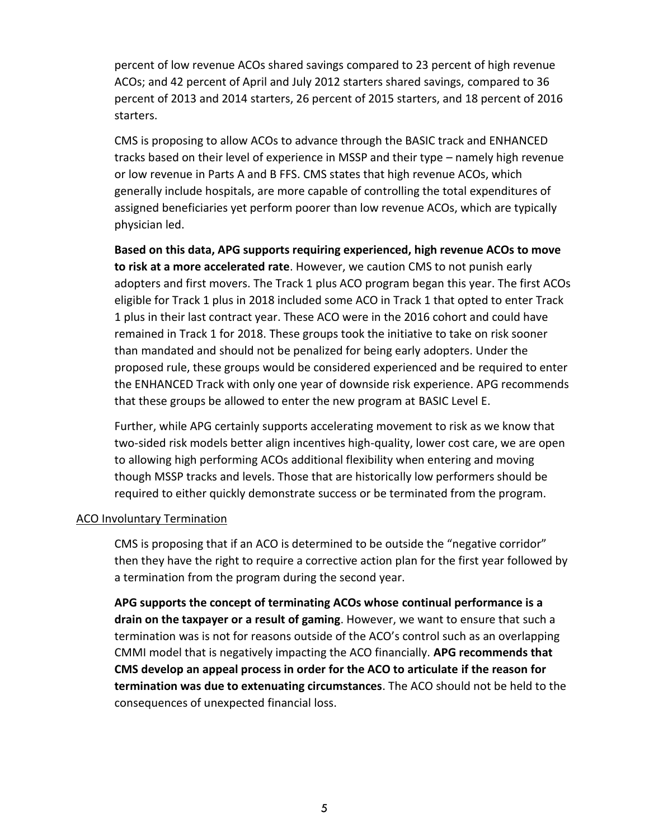percent of low revenue ACOs shared savings compared to 23 percent of high revenue ACOs; and 42 percent of April and July 2012 starters shared savings, compared to 36 percent of 2013 and 2014 starters, 26 percent of 2015 starters, and 18 percent of 2016 starters.

CMS is proposing to allow ACOs to advance through the BASIC track and ENHANCED tracks based on their level of experience in MSSP and their type – namely high revenue or low revenue in Parts A and B FFS. CMS states that high revenue ACOs, which generally include hospitals, are more capable of controlling the total expenditures of assigned beneficiaries yet perform poorer than low revenue ACOs, which are typically physician led.

**Based on this data, APG supports requiring experienced, high revenue ACOs to move to risk at a more accelerated rate**. However, we caution CMS to not punish early adopters and first movers. The Track 1 plus ACO program began this year. The first ACOs eligible for Track 1 plus in 2018 included some ACO in Track 1 that opted to enter Track 1 plus in their last contract year. These ACO were in the 2016 cohort and could have remained in Track 1 for 2018. These groups took the initiative to take on risk sooner than mandated and should not be penalized for being early adopters. Under the proposed rule, these groups would be considered experienced and be required to enter the ENHANCED Track with only one year of downside risk experience. APG recommends that these groups be allowed to enter the new program at BASIC Level E.

Further, while APG certainly supports accelerating movement to risk as we know that two-sided risk models better align incentives high-quality, lower cost care, we are open to allowing high performing ACOs additional flexibility when entering and moving though MSSP tracks and levels. Those that are historically low performers should be required to either quickly demonstrate success or be terminated from the program.

#### ACO Involuntary Termination

CMS is proposing that if an ACO is determined to be outside the "negative corridor" then they have the right to require a corrective action plan for the first year followed by a termination from the program during the second year.

**APG supports the concept of terminating ACOs whose continual performance is a drain on the taxpayer or a result of gaming**. However, we want to ensure that such a termination was is not for reasons outside of the ACO's control such as an overlapping CMMI model that is negatively impacting the ACO financially. **APG recommends that CMS develop an appeal process in order for the ACO to articulate if the reason for termination was due to extenuating circumstances**. The ACO should not be held to the consequences of unexpected financial loss.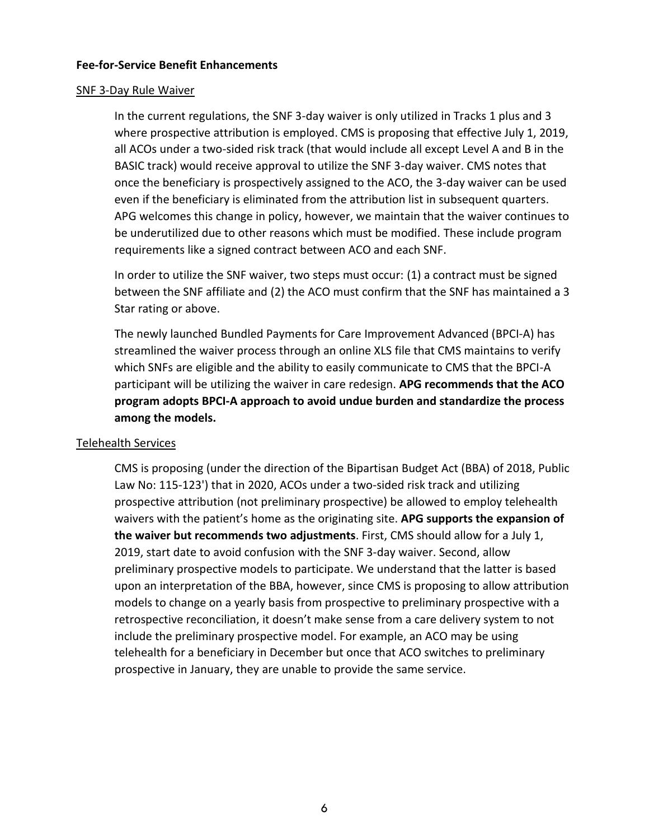#### **Fee-for-Service Benefit Enhancements**

#### SNF 3-Day Rule Waiver

In the current regulations, the SNF 3-day waiver is only utilized in Tracks 1 plus and 3 where prospective attribution is employed. CMS is proposing that effective July 1, 2019, all ACOs under a two-sided risk track (that would include all except Level A and B in the BASIC track) would receive approval to utilize the SNF 3-day waiver. CMS notes that once the beneficiary is prospectively assigned to the ACO, the 3-day waiver can be used even if the beneficiary is eliminated from the attribution list in subsequent quarters. APG welcomes this change in policy, however, we maintain that the waiver continues to be underutilized due to other reasons which must be modified. These include program requirements like a signed contract between ACO and each SNF.

In order to utilize the SNF waiver, two steps must occur: (1) a contract must be signed between the SNF affiliate and (2) the ACO must confirm that the SNF has maintained a 3 Star rating or above.

The newly launched Bundled Payments for Care Improvement Advanced (BPCI-A) has streamlined the waiver process through an online XLS file that CMS maintains to verify which SNFs are eligible and the ability to easily communicate to CMS that the BPCI-A participant will be utilizing the waiver in care redesign. **APG recommends that the ACO program adopts BPCI-A approach to avoid undue burden and standardize the process among the models.** 

#### Telehealth Services

CMS is proposing (under the direction of the Bipartisan Budget Act (BBA) of 2018, Public Law No: 115-123') that in 2020, ACOs under a two-sided risk track and utilizing prospective attribution (not preliminary prospective) be allowed to employ telehealth waivers with the patient's home as the originating site. **APG supports the expansion of the waiver but recommends two adjustments**. First, CMS should allow for a July 1, 2019, start date to avoid confusion with the SNF 3-day waiver. Second, allow preliminary prospective models to participate. We understand that the latter is based upon an interpretation of the BBA, however, since CMS is proposing to allow attribution models to change on a yearly basis from prospective to preliminary prospective with a retrospective reconciliation, it doesn't make sense from a care delivery system to not include the preliminary prospective model. For example, an ACO may be using telehealth for a beneficiary in December but once that ACO switches to preliminary prospective in January, they are unable to provide the same service.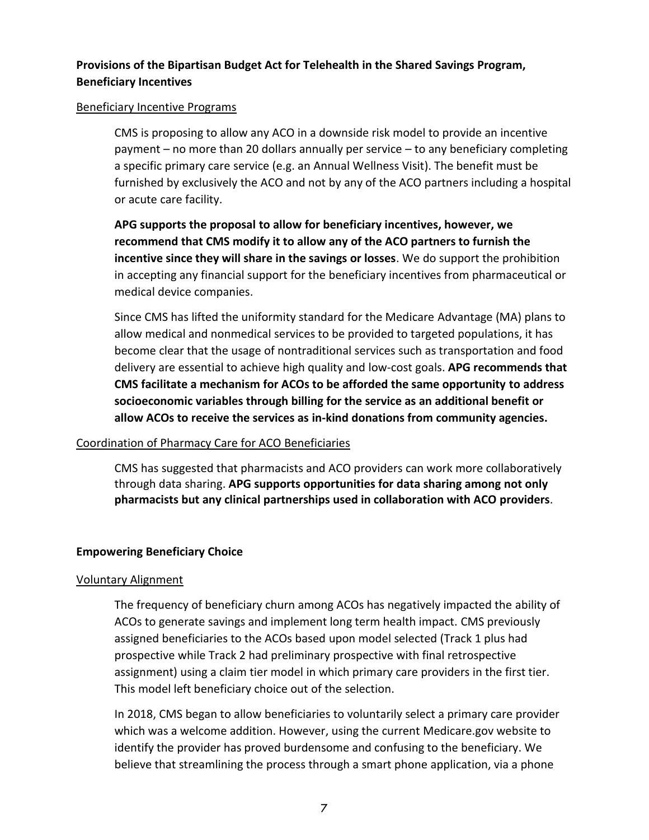## **Provisions of the Bipartisan Budget Act for Telehealth in the Shared Savings Program, Beneficiary Incentives**

#### Beneficiary Incentive Programs

CMS is proposing to allow any ACO in a downside risk model to provide an incentive payment – no more than 20 dollars annually per service – to any beneficiary completing a specific primary care service (e.g. an Annual Wellness Visit). The benefit must be furnished by exclusively the ACO and not by any of the ACO partners including a hospital or acute care facility.

**APG supports the proposal to allow for beneficiary incentives, however, we recommend that CMS modify it to allow any of the ACO partners to furnish the incentive since they will share in the savings or losses**. We do support the prohibition in accepting any financial support for the beneficiary incentives from pharmaceutical or medical device companies.

Since CMS has lifted the uniformity standard for the Medicare Advantage (MA) plans to allow medical and nonmedical services to be provided to targeted populations, it has become clear that the usage of nontraditional services such as transportation and food delivery are essential to achieve high quality and low-cost goals. **APG recommends that CMS facilitate a mechanism for ACOs to be afforded the same opportunity to address socioeconomic variables through billing for the service as an additional benefit or allow ACOs to receive the services as in-kind donations from community agencies.**

#### Coordination of Pharmacy Care for ACO Beneficiaries

CMS has suggested that pharmacists and ACO providers can work more collaboratively through data sharing. **APG supports opportunities for data sharing among not only pharmacists but any clinical partnerships used in collaboration with ACO providers**.

#### **Empowering Beneficiary Choice**

#### Voluntary Alignment

The frequency of beneficiary churn among ACOs has negatively impacted the ability of ACOs to generate savings and implement long term health impact. CMS previously assigned beneficiaries to the ACOs based upon model selected (Track 1 plus had prospective while Track 2 had preliminary prospective with final retrospective assignment) using a claim tier model in which primary care providers in the first tier. This model left beneficiary choice out of the selection.

In 2018, CMS began to allow beneficiaries to voluntarily select a primary care provider which was a welcome addition. However, using the current Medicare.gov website to identify the provider has proved burdensome and confusing to the beneficiary. We believe that streamlining the process through a smart phone application, via a phone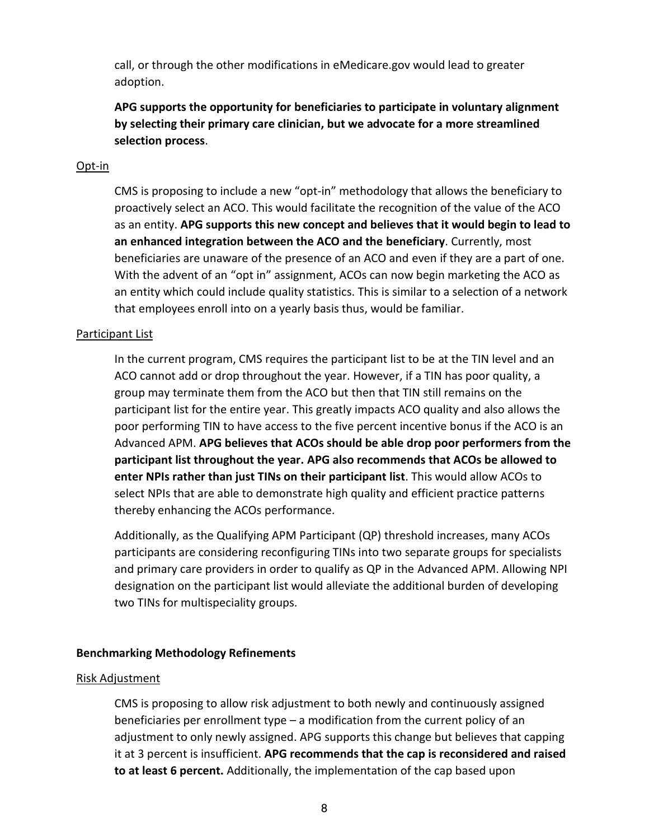call, or through the other modifications in eMedicare.gov would lead to greater adoption.

**APG supports the opportunity for beneficiaries to participate in voluntary alignment by selecting their primary care clinician, but we advocate for a more streamlined selection process**.

#### Opt-in

CMS is proposing to include a new "opt-in" methodology that allows the beneficiary to proactively select an ACO. This would facilitate the recognition of the value of the ACO as an entity. **APG supports this new concept and believes that it would begin to lead to an enhanced integration between the ACO and the beneficiary**. Currently, most beneficiaries are unaware of the presence of an ACO and even if they are a part of one. With the advent of an "opt in" assignment, ACOs can now begin marketing the ACO as an entity which could include quality statistics. This is similar to a selection of a network that employees enroll into on a yearly basis thus, would be familiar.

#### Participant List

In the current program, CMS requires the participant list to be at the TIN level and an ACO cannot add or drop throughout the year. However, if a TIN has poor quality, a group may terminate them from the ACO but then that TIN still remains on the participant list for the entire year. This greatly impacts ACO quality and also allows the poor performing TIN to have access to the five percent incentive bonus if the ACO is an Advanced APM. **APG believes that ACOs should be able drop poor performers from the participant list throughout the year. APG also recommends that ACOs be allowed to enter NPIs rather than just TINs on their participant list**. This would allow ACOs to select NPIs that are able to demonstrate high quality and efficient practice patterns thereby enhancing the ACOs performance.

Additionally, as the Qualifying APM Participant (QP) threshold increases, many ACOs participants are considering reconfiguring TINs into two separate groups for specialists and primary care providers in order to qualify as QP in the Advanced APM. Allowing NPI designation on the participant list would alleviate the additional burden of developing two TINs for multispeciality groups.

#### **Benchmarking Methodology Refinements**

#### Risk Adjustment

CMS is proposing to allow risk adjustment to both newly and continuously assigned beneficiaries per enrollment type – a modification from the current policy of an adjustment to only newly assigned. APG supports this change but believes that capping it at 3 percent is insufficient. **APG recommends that the cap is reconsidered and raised to at least 6 percent.** Additionally, the implementation of the cap based upon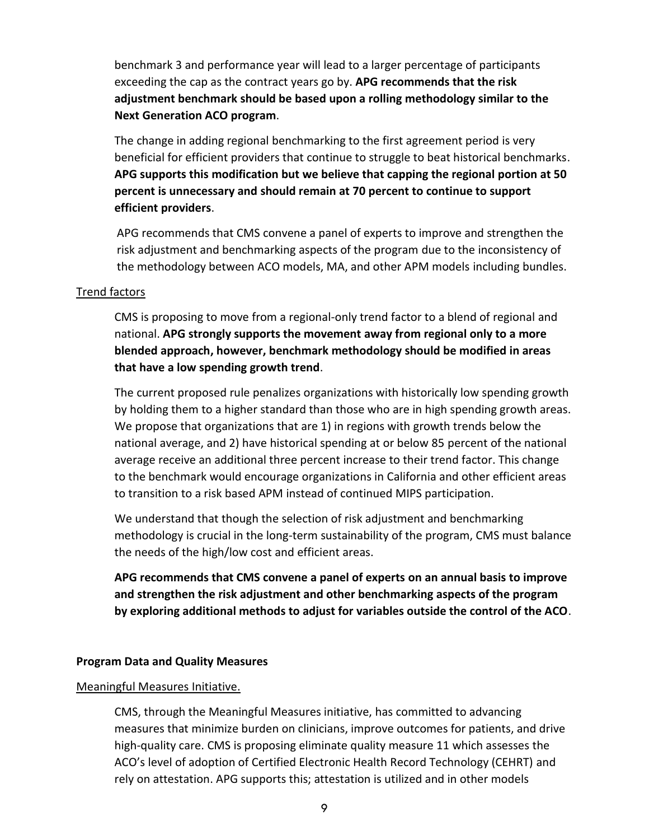benchmark 3 and performance year will lead to a larger percentage of participants exceeding the cap as the contract years go by. **APG recommends that the risk adjustment benchmark should be based upon a rolling methodology similar to the Next Generation ACO program**.

The change in adding regional benchmarking to the first agreement period is very beneficial for efficient providers that continue to struggle to beat historical benchmarks. **APG supports this modification but we believe that capping the regional portion at 50 percent is unnecessary and should remain at 70 percent to continue to support efficient providers**.

APG recommends that CMS convene a panel of experts to improve and strengthen the risk adjustment and benchmarking aspects of the program due to the inconsistency of the methodology between ACO models, MA, and other APM models including bundles.

#### Trend factors

CMS is proposing to move from a regional-only trend factor to a blend of regional and national. **APG strongly supports the movement away from regional only to a more blended approach, however, benchmark methodology should be modified in areas that have a low spending growth trend**.

The current proposed rule penalizes organizations with historically low spending growth by holding them to a higher standard than those who are in high spending growth areas. We propose that organizations that are 1) in regions with growth trends below the national average, and 2) have historical spending at or below 85 percent of the national average receive an additional three percent increase to their trend factor. This change to the benchmark would encourage organizations in California and other efficient areas to transition to a risk based APM instead of continued MIPS participation.

We understand that though the selection of risk adjustment and benchmarking methodology is crucial in the long-term sustainability of the program, CMS must balance the needs of the high/low cost and efficient areas.

**APG recommends that CMS convene a panel of experts on an annual basis to improve and strengthen the risk adjustment and other benchmarking aspects of the program by exploring additional methods to adjust for variables outside the control of the ACO**.

#### **Program Data and Quality Measures**

#### Meaningful Measures Initiative.

CMS, through the Meaningful Measures initiative, has committed to advancing measures that minimize burden on clinicians, improve outcomes for patients, and drive high-quality care. CMS is proposing eliminate quality measure 11 which assesses the ACO's level of adoption of Certified Electronic Health Record Technology (CEHRT) and rely on attestation. APG supports this; attestation is utilized and in other models